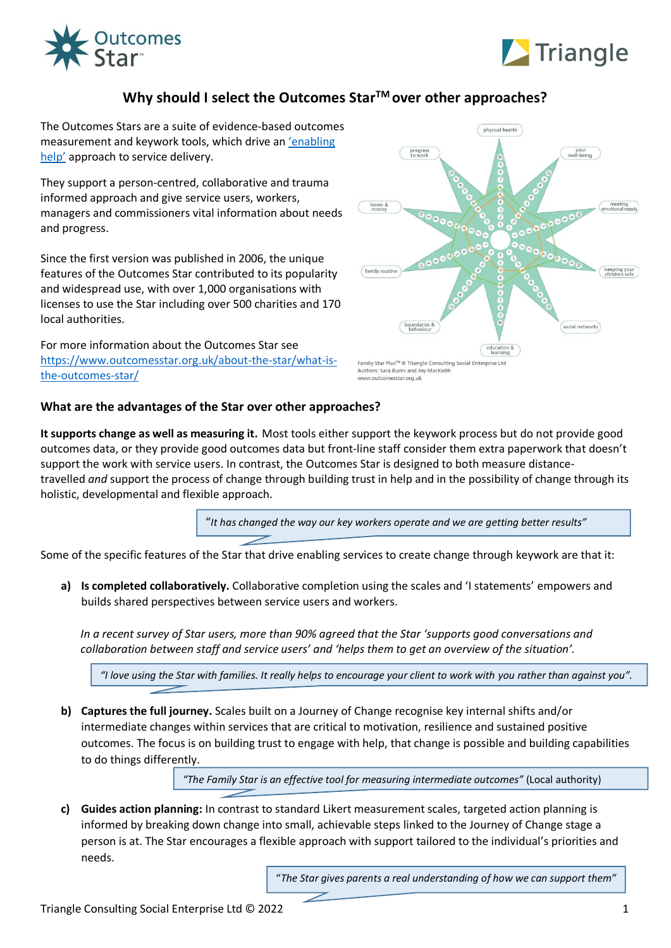



## **Why should I select the Outcomes StarTM over other approaches?**

The Outcomes Stars are a suite of evidence-based outcomes measurement and keywork tools, which drive an '[enabling](https://www.outcomesstar.org.uk/enablinghelp/)  [help'](https://www.outcomesstar.org.uk/enablinghelp/) approach to service delivery.

They support a person-centred, collaborative and trauma informed approach and give service users, workers, managers and commissioners vital information about needs and progress.

Since the first version was published in 2006, the unique features of the Outcomes Star contributed to its popularity and widespread use, with over 1,000 organisations with licenses to use the Star including over 500 charities and 170 local authorities.

For more information about the Outcomes Star see [https://www.outcomesstar.org.uk/about-the-star/what-is](https://www.outcomesstar.org.uk/about-the-star/what-is-the-outcomes-star/)[the-outcomes-star/](https://www.outcomesstar.org.uk/about-the-star/what-is-the-outcomes-star/) 



## www.outcomesstar.org.uk

## **What are the advantages of the Star over other approaches?**

**It supports change as well as measuring it.** Most tools either support the keywork process but do not provide good outcomes data, or they provide good outcomes data but front-line staff consider them extra paperwork that doesn't support the work with service users. In contrast, the Outcomes Star is designed to both measure distancetravelled *and* support the process of change through building trust in help and in the possibility of change through its holistic, developmental and flexible approach.

"*It has changed the way our key workers operate and we are getting better results"*

Some of the specific features of the Star that drive enabling services to create change through keywork are that it:

**a) Is completed collaboratively.** Collaborative completion using the scales and 'I statements' empowers and builds shared perspectives between service users and workers.

*In a recent survey of Star users, more than 90% agreed that the Star 'supports good conversations and collaboration between staff and service users' and 'helps them to get an overview of the situation'.* 

*"I love using the Star with families. It really helps to encourage your client to work with you rather than against you".*

**b) Captures the full journey.** Scales built on a Journey of Change recognise key internal shifts and/or intermediate changes within services that are critical to motivation, resilience and sustained positive outcomes. The focus is on building trust to engage with help, that change is possible and building capabilities to do things differently.

*"The Family Star is an effective tool for measuring intermediate outcomes"* (Local authority)

**c) Guides action planning:** In contrast to standard Likert measurement scales, targeted action planning is informed by breaking down change into small, achievable steps linked to the Journey of Change stage a person is at. The Star encourages a flexible approach with support tailored to the individual's priorities and needs.

"*The Star gives parents a real understanding of how we can support them"*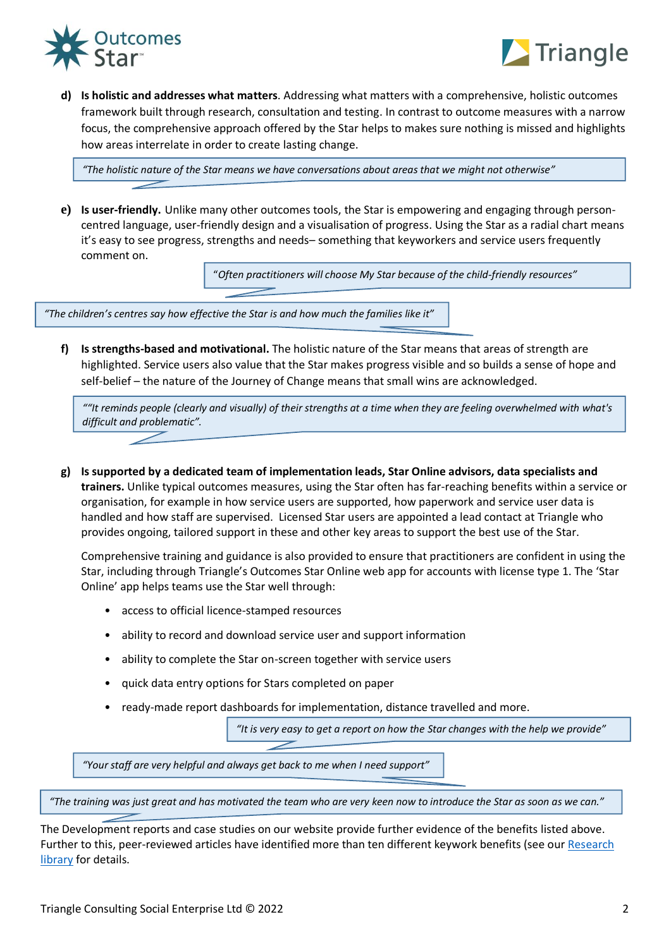



**d) Is holistic and addresses what matters**. Addressing what matters with a comprehensive, holistic outcomes framework built through research, consultation and testing. In contrast to outcome measures with a narrow focus, the comprehensive approach offered by the Star helps to makes sure nothing is missed and highlights how areas interrelate in order to create lasting change.

*"The holistic nature of the Star means we have conversations about areas that we might not otherwise"*

**e) Is user-friendly.** Unlike many other outcomes tools, the Star is empowering and engaging through personcentred language, user-friendly design and a visualisation of progress. Using the Star as a radial chart means it's easy to see progress, strengths and needs– something that keyworkers and service users frequently comment on.

"*Often practitioners will choose My Star because of the child-friendly resources"*

<sup>"</sup>The children's centres say how effective the Star is and how much the families like it" *are children's centres* 

f) Is strengths-based and motivational. The holistic nature of the Star means that areas of strength are highlighted. Service users also value that the Star makes progress visible and so builds a sense of hope and self-belief – the nature of the Journey of Change means that small wins are acknowledged.

*""It reminds people (clearly and visually) of their strengths at a time when they are feeling overwhelmed with what's difficult and problematic".*

**g) Is supported by a dedicated team of implementation leads, Star Online advisors, data specialists and trainers.** Unlike typical outcomes measures, using the Star often has far-reaching benefits within a service or organisation, for example in how service users are supported, how paperwork and service user data is handled and how staff are supervised. Licensed Star users are appointed a lead contact at Triangle who provides ongoing, tailored support in these and other key areas to support the best use of the Star.

Comprehensive training and guidance is also provided to ensure that practitioners are confident in using the Star, including through Triangle's Outcomes Star Online web app for accounts with license type 1. The 'Star Online' app helps teams use the Star well through:

- access to official licence-stamped resources
- ability to record and download service user and support information
- ability to complete the Star on-screen together with service users
- quick data entry options for Stars completed on paper
- ready-made report dashboards for implementation, distance travelled and more.

"It is very easy to get a report on how the Star changes with the help we provide"

*"Your staff are very helpful and always get back to me when I need support"*

*" "The training was just great and has motivated the team who are very keen now to introduce the Star as soon as we can."*

The Development reports and case studies on our website provide further evidence of the benefits listed above. Further to this, peer-reviewed articles have identified more than ten different keywork benefits (see our Research [library](https://www.outcomesstar.org.uk/about-the-star/evidence-and-research/research-library/#tag-link-7) for details.